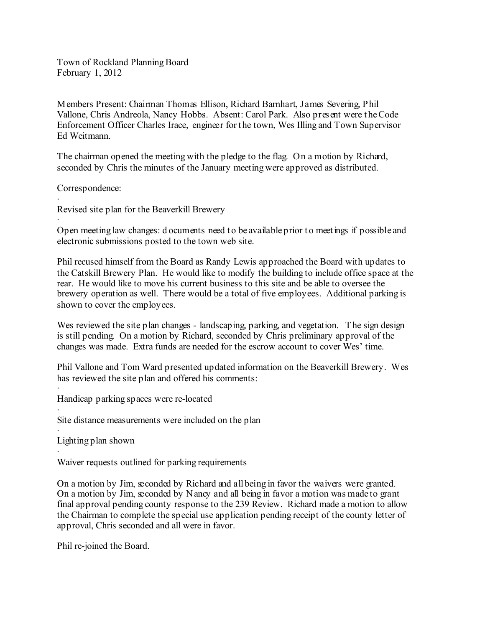Town of Rockland Planning Board February 1, 2012

Members Present: Chairman Thomas Ellison, Richard Barnhart, J ames Severing, Phil Vallone, Chris Andreola, Nancy Hobbs. Absent: Carol Park. Also present were t heCode Enforcement Officer Charles Irace, engineer for t he town, Wes Illing and Town Supervisor Ed Weitmann.

The chairman opened the meeting with the pledge to the flag. On a motion by Richard, seconded by Chris the minutes of the January meeting were approved as distributed.

Correspondence:

· Revised site plan for the Beaverkill Brewery

· Open meeting law changes: d ocuments need to be available prior to meetings if possible and electronic submissions posted to the town web site.

Phil recused himself from the Board as Randy Lewis approached the Board with updates to the Catskill Brewery Plan. He would like to modify the building to include office space at the rear. He would like to move his current business to this site and be able to oversee the brewery operation as well. There would be a total of five employees. Additional parking is shown to cover the employees.

Wes reviewed the site plan changes - landscaping, parking, and vegetation. The sign design is still pending. On a motion by Richard, seconded by Chris preliminary approval of the changes was made. Extra funds are needed for the escrow account to cover Wes' time.

Phil Vallone and Tom Ward presented updated information on the Beaverkill Brewery. Wes has reviewed the site plan and offered his comments:

· Handicap parking spaces were re-located

· Site distance measurements were included on the plan

· Lighting plan shown

· Waiver requests outlined for parking requirements

On a motion by Jim, seconded by Richard and all being in favor the waivers were granted. On a motion by Jim, seconded by Nancy and all being in favor a motion was made to grant final approval pending county response to the 239 Review. Richard made a motion to allow the Chairman to complete the special use application pending receipt of the county letter of approval, Chris seconded and all were in favor.

Phil re-joined the Board.